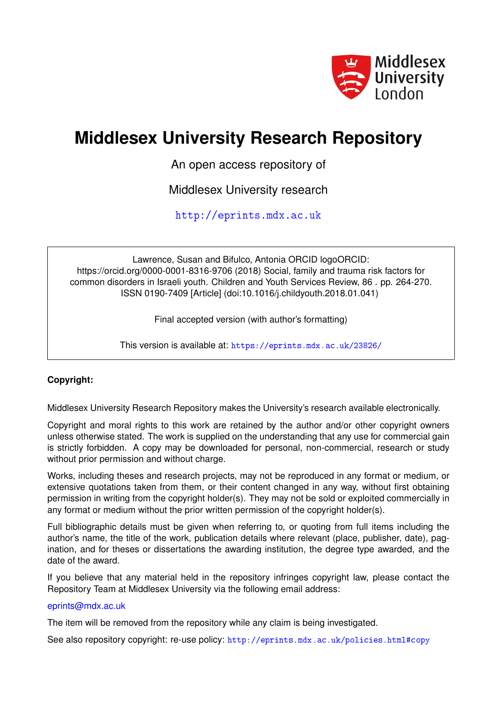

# **Middlesex University Research Repository**

An open access repository of

Middlesex University research

<http://eprints.mdx.ac.uk>

Lawrence, Susan and Bifulco, Antonia ORCID logoORCID: https://orcid.org/0000-0001-8316-9706 (2018) Social, family and trauma risk factors for common disorders in Israeli youth. Children and Youth Services Review, 86 . pp. 264-270. ISSN 0190-7409 [Article] (doi:10.1016/j.childyouth.2018.01.041)

Final accepted version (with author's formatting)

This version is available at: <https://eprints.mdx.ac.uk/23826/>

# **Copyright:**

Middlesex University Research Repository makes the University's research available electronically.

Copyright and moral rights to this work are retained by the author and/or other copyright owners unless otherwise stated. The work is supplied on the understanding that any use for commercial gain is strictly forbidden. A copy may be downloaded for personal, non-commercial, research or study without prior permission and without charge.

Works, including theses and research projects, may not be reproduced in any format or medium, or extensive quotations taken from them, or their content changed in any way, without first obtaining permission in writing from the copyright holder(s). They may not be sold or exploited commercially in any format or medium without the prior written permission of the copyright holder(s).

Full bibliographic details must be given when referring to, or quoting from full items including the author's name, the title of the work, publication details where relevant (place, publisher, date), pagination, and for theses or dissertations the awarding institution, the degree type awarded, and the date of the award.

If you believe that any material held in the repository infringes copyright law, please contact the Repository Team at Middlesex University via the following email address:

# [eprints@mdx.ac.uk](mailto:eprints@mdx.ac.uk)

The item will be removed from the repository while any claim is being investigated.

See also repository copyright: re-use policy: <http://eprints.mdx.ac.uk/policies.html#copy>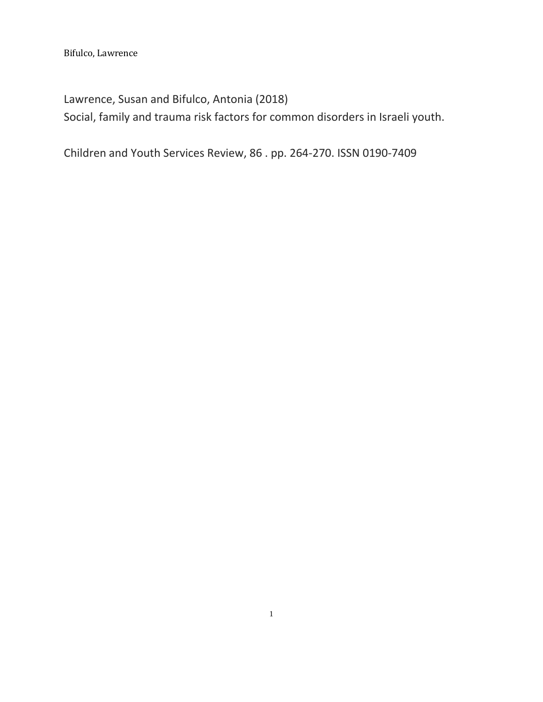Lawrence, Susan and Bifulco, Antonia (2018) Social, family and trauma risk factors for common disorders in Israeli youth.

Children and Youth Services Review, 86 . pp. 264-270. ISSN 0190-7409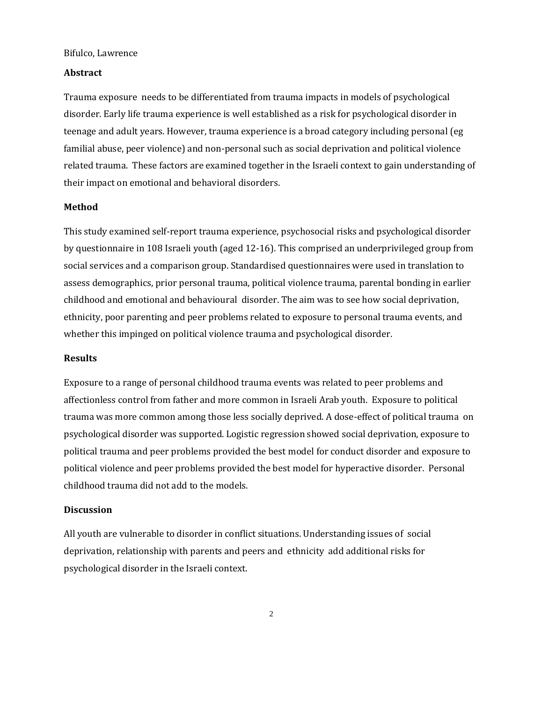# **Abstract**

Trauma exposure needs to be differentiated from trauma impacts in models of psychological disorder. Early life trauma experience is well established as a risk for psychological disorder in teenage and adult years. However, trauma experience is a broad category including personal (eg familial abuse, peer violence) and non-personal such as social deprivation and political violence related trauma. These factors are examined together in the Israeli context to gain understanding of their impact on emotional and behavioral disorders.

# **Method**

This study examined self-report trauma experience, psychosocial risks and psychological disorder by questionnaire in 108 Israeli youth (aged 12-16). This comprised an underprivileged group from social services and a comparison group. Standardised questionnaires were used in translation to assess demographics, prior personal trauma, political violence trauma, parental bonding in earlier childhood and emotional and behavioural disorder. The aim was to see how social deprivation, ethnicity, poor parenting and peer problems related to exposure to personal trauma events, and whether this impinged on political violence trauma and psychological disorder.

#### **Results**

Exposure to a range of personal childhood trauma events was related to peer problems and affectionless control from father and more common in Israeli Arab youth. Exposure to political trauma was more common among those less socially deprived. A dose-effect of political trauma on psychological disorder was supported. Logistic regression showed social deprivation, exposure to political trauma and peer problems provided the best model for conduct disorder and exposure to political violence and peer problems provided the best model for hyperactive disorder. Personal childhood trauma did not add to the models.

#### **Discussion**

All youth are vulnerable to disorder in conflict situations. Understanding issues of social deprivation, relationship with parents and peers and ethnicity add additional risks for psychological disorder in the Israeli context.

2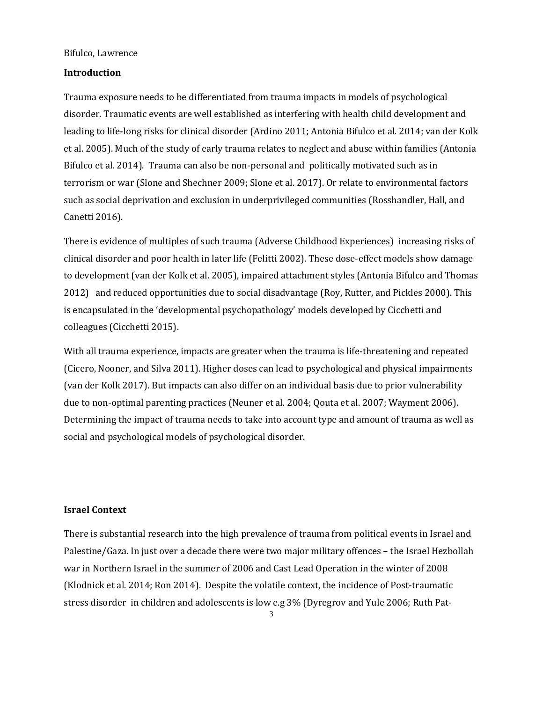# **Introduction**

Trauma exposure needs to be differentiated from trauma impacts in models of psychological disorder. Traumatic events are well established as interfering with health child development and leading to life-long risks for clinical disorder [\(Ardino 2011; Antonia Bifulco et al. 2014; van der Kolk](https://paperpile.com/c/7KnH2C/RqgU+sdps+umQF)  [et al. 2005\).](https://paperpile.com/c/7KnH2C/RqgU+sdps+umQF) Much of the study of early trauma relates to neglect and abuse within familie[s \(Antonia](https://paperpile.com/c/7KnH2C/sdps)  [Bifulco et al. 2014\).](https://paperpile.com/c/7KnH2C/sdps) Trauma can also be non-personal and politically motivated such as in terrorism or wa[r \(Slone and Shechner 2009; Slone et al. 2017\).](https://paperpile.com/c/7KnH2C/xfBG+OX4X) Or relate to environmental factors such as social deprivation and exclusion in underprivileged communitie[s \(Rosshandler, Hall, and](https://paperpile.com/c/7KnH2C/tvZM)  [Canetti 2016\).](https://paperpile.com/c/7KnH2C/tvZM) 

There is evidence of multiples of such trauma (Adverse Childhood Experiences) increasing risks of clinical disorder and poor health in later lif[e \(Felitti 2002\).](https://paperpile.com/c/7KnH2C/SktD) These dose-effect models show damage to development [\(van der Kolk et al. 2005\),](https://paperpile.com/c/7KnH2C/umQF) impaired attachment style[s \(Antonia Bifulco and Thomas](https://paperpile.com/c/7KnH2C/cv3w)  [2012\)](https://paperpile.com/c/7KnH2C/cv3w) and reduced opportunities due to social disadvantage [\(Roy, Rutter, and Pickles 2000\).](https://paperpile.com/c/7KnH2C/uVeE) This is encapsulated in the 'developmental psychopathology' models developed by Cicchetti and colleague[s \(Cicchetti 2015\).](https://paperpile.com/c/7KnH2C/K6wM)

With all trauma experience, impacts are greater when the trauma is life-threatening and repeated [\(Cicero, Nooner, and Silva 2011\).](https://paperpile.com/c/7KnH2C/iw5B) Higher doses can lead to psychological and physical impairments [\(van der Kolk 2017\).](https://paperpile.com/c/7KnH2C/2z6W) But impacts can also differ on an individual basis due to prior vulnerability due to non-optimal parenting practice[s \(Neuner et al. 2004; Qouta et al. 2007; Wayment 2006\).](https://paperpile.com/c/7KnH2C/ibYA+Phpf+6a1q) Determining the impact of trauma needs to take into account type and amount of trauma as well as social and psychological models of psychological disorder.

# **Israel Context**

There is substantial research into the high prevalence of trauma from political events in Israel and Palestine/Gaza. In just over a decade there were two major military offences – the Israel Hezbollah war in Northern Israel in the summer of 2006 and Cast Lead Operation in the winter of 2008 [\(Klodnick et al. 2014; Ron 2014\).](https://paperpile.com/c/7KnH2C/7OAd+ZpkV) Despite the volatile context, the incidence of Post-traumatic stress disorder in children and adolescents is low e.g 3% [\(Dyregrov and Yule 2006; Ruth Pat-](https://paperpile.com/c/7KnH2C/iQHi+9TSg)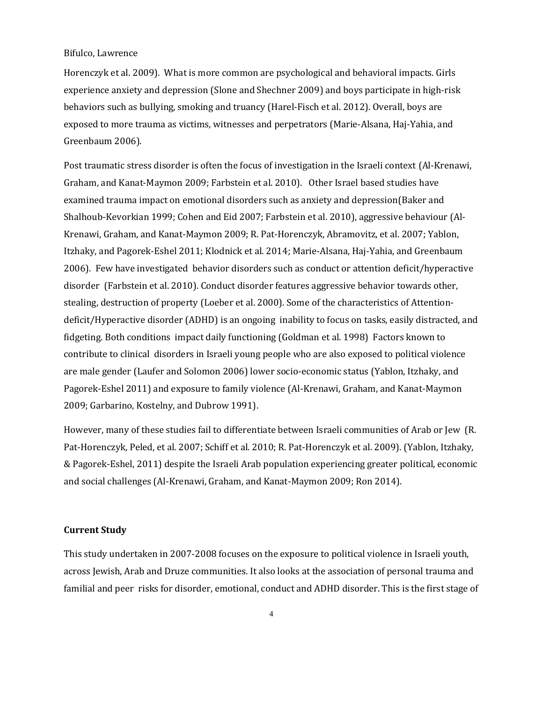[Horenczyk et al. 2009\).](https://paperpile.com/c/7KnH2C/iQHi+9TSg) What is more common are psychological and behavioral impacts. Girls experience anxiety and depressio[n \(Slone and Shechner 2009\)](https://paperpile.com/c/7KnH2C/xfBG) and boys participate in high-risk behaviors such as bullying, smoking and truancy [\(Harel-Fisch et al. 2012\).](https://paperpile.com/c/7KnH2C/vOkJ) Overall, boys are exposed to more trauma as victims, witnesses and perpetrators [\(Marie-Alsana, Haj-Yahia, and](https://paperpile.com/c/7KnH2C/SHCj)  [Greenbaum 2006\).](https://paperpile.com/c/7KnH2C/SHCj)

Post traumatic stress disorder is often the focus of investigation in the Israeli context [\(Al-Krenawi,](https://paperpile.com/c/7KnH2C/v5S6+xjMg)  [Graham, and Kanat-Maymon 2009; Farbstein et al. 2010\).](https://paperpile.com/c/7KnH2C/v5S6+xjMg) Other Israel based studies have examined trauma impact on emotional disorders such as anxiety and depressio[n\(Baker and](https://paperpile.com/c/7KnH2C/yhZ1+IO6I+xjMg)  [Shalhoub-Kevorkian 1999; Cohen and Eid 2007; Farbstein](https://paperpile.com/c/7KnH2C/yhZ1+IO6I+xjMg) et al. 2010), aggressive behaviour [\(Al-](https://paperpile.com/c/7KnH2C/v5S6+0uM7+MCyp+7OAd+SHCj)[Krenawi, Graham, and Kanat-Maymon 2009; R. Pat-Horenczyk, Abramovitz, et al. 2007; Yablon,](https://paperpile.com/c/7KnH2C/v5S6+0uM7+MCyp+7OAd+SHCj)  [Itzhaky, and Pagorek-Eshel 2011; Klodnick et al. 2014; Marie-Alsana, Haj-Yahia, and Greenbaum](https://paperpile.com/c/7KnH2C/v5S6+0uM7+MCyp+7OAd+SHCj)  [2006\).](https://paperpile.com/c/7KnH2C/v5S6+0uM7+MCyp+7OAd+SHCj) Few have investigated behavior disorders such as conduct or attention deficit/hyperactive disorder [\(Farbstein et al. 2010\).](https://paperpile.com/c/7KnH2C/xjMg) Conduct disorder features aggressive behavior towards other, stealing, destruction of property [\(Loeber et al. 2000\).](https://paperpile.com/c/7KnH2C/ro4e) Some of the characteristics of Attentiondeficit/Hyperactive disorder (ADHD) is an ongoing inability to focus on tasks, easily distracted, and fidgeting. Both conditions impact daily functioning [\(Goldman et al. 1998\)](https://paperpile.com/c/7KnH2C/GpAD) Factors known to contribute to clinical disorders in Israeli young people who are also exposed to political violence are male gende[r \(Laufer and Solomon 2006\)](https://paperpile.com/c/7KnH2C/oJtj) lower socio-economic status [\(Yablon, Itzhaky, and](https://paperpile.com/c/7KnH2C/MCyp)  [Pagorek-Eshel 2011\)](https://paperpile.com/c/7KnH2C/MCyp) and exposure to family violenc[e \(Al-Krenawi, Graham, and Kanat-Maymon](https://paperpile.com/c/7KnH2C/v5S6+qoNV)  [2009; Garbarino, Kostelny, and Dubrow 1991\).](https://paperpile.com/c/7KnH2C/v5S6+qoNV)

However, many of these studies fail to differentiate between Israeli communities of Arab or Jew [\(R.](https://paperpile.com/c/7KnH2C/EQpY+skGh+iCNO)  [Pat-Horenczyk, Peled, et al. 2007; Schiff et al. 2010; R. Pat-Horenczyk et al. 2009\).](https://paperpile.com/c/7KnH2C/EQpY+skGh+iCNO) (Yablon, Itzhaky, & Pagorek-Eshel, 2011) despite the Israeli Arab population experiencing greater political, economic and social challenges [\(Al-Krenawi, Graham, and Kanat-Maymon 2009; Ron 2014\).](https://paperpile.com/c/7KnH2C/v5S6+ZpkV) 

# **Current Study**

This study undertaken in 2007-2008 focuses on the exposure to political violence in Israeli youth, across Jewish, Arab and Druze communities. It also looks at the association of personal trauma and familial and peer risks for disorder, emotional, conduct and ADHD disorder. This is the first stage of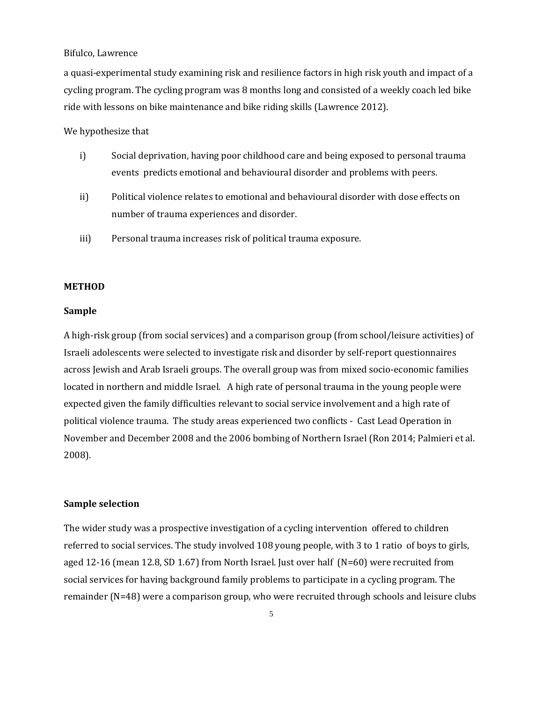a quasi-experimental study examining risk and resilience factors in high risk youth and impact of a cycling program. The cycling program was 8 months long and consisted of a weekly coach led bike ride with lessons on bike maintenance and bike riding skill[s \(Lawrence 2012\).](https://paperpile.com/c/7KnH2C/NifZ)

### We hypothesize that

- i) Social deprivation, having poor childhood care and being exposed to personal trauma events predicts emotional and behavioural disorder and problems with peers.
- ii) Political violence relates to emotional and behavioural disorder with dose effects on number of trauma experiences and disorder.
- iii) Personal trauma increases risk of political trauma exposure.

#### **METHOD**

#### **Sample**

A high-risk group (from social services) and a comparison group (from school/leisure activities) of Israeli adolescents were selected to investigate risk and disorder by self-report questionnaires across Jewish and Arab Israeli groups. The overall group was from mixed socio-economic families located in northern and middle Israel. A high rate of personal trauma in the young people were expected given the family difficulties relevant to social service involvement and a high rate of political violence trauma. The study areas experienced two conflicts - Cast Lead Operation in November and December 2008 and the 2006 bombing of Northern Israel [\(Ron 2014; Palmieri et al.](https://paperpile.com/c/7KnH2C/ZpkV+yaQh)  [2008\).](https://paperpile.com/c/7KnH2C/ZpkV+yaQh) 

### **Sample selection**

The wider study was a prospective investigation of a cycling intervention offered to children referred to social services. The study involved 108 young people, with 3 to 1 ratio of boys to girls, aged 12-16 (mean 12.8, SD 1.67) from North Israel. Just over half (N=60) were recruited from social services for having background family problems to participate in a cycling program. The remainder (N=48) were a comparison group, who were recruited through schools and leisure clubs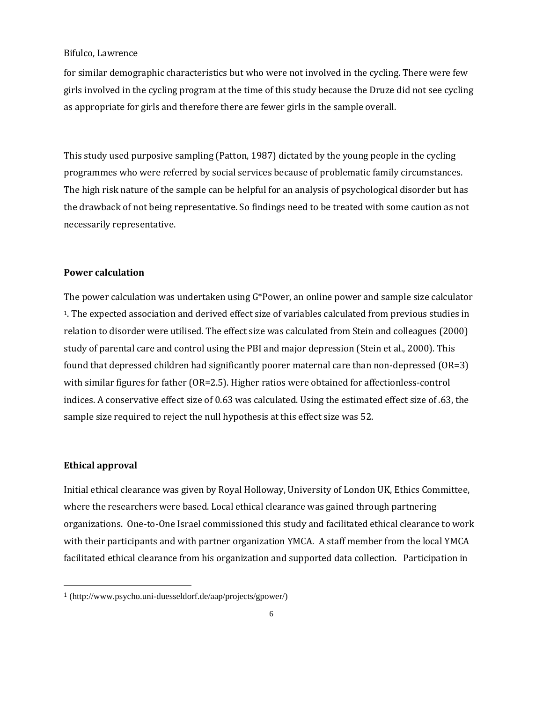for similar demographic characteristics but who were not involved in the cycling. There were few girls involved in the cycling program at the time of this study because the Druze did not see cycling as appropriate for girls and therefore there are fewer girls in the sample overall.

This study used purposive sampling (Patton, 1987) dictated by the young people in the cycling programmes who were referred by social services because of problematic family circumstances. The high risk nature of the sample can be helpful for an analysis of psychological disorder but has the drawback of not being representative. So findings need to be treated with some caution as not necessarily representative.

### **Power calculation**

The power calculation was undertaken using G\*Power, an online power and sample size calculator <sup>1</sup>. The expected association and derived effect size of variables calculated from previous studies in relation to disorder were utilised. The effect size was calculated from Stein and colleagues (2000) study of parental care and control using the PBI and major depression (Stein et al., 2000). This found that depressed children had significantly poorer maternal care than non-depressed (OR=3) with similar figures for father (OR=2.5). Higher ratios were obtained for affectionless-control indices. A conservative effect size of 0.63 was calculated. Using the estimated effect size of .63, the sample size required to reject the null hypothesis at this effect size was 52.

#### **Ethical approval**

l

Initial ethical clearance was given by Royal Holloway, University of London UK, Ethics Committee, where the researchers were based. Local ethical clearance was gained through partnering organizations. One-to-One Israel commissioned this study and facilitated ethical clearance to work with their participants and with partner organization YMCA. A staff member from the local YMCA facilitated ethical clearance from his organization and supported data collection. Participation in

<sup>1</sup> (http://www.psycho.uni-duesseldorf.de/aap/projects/gpower/)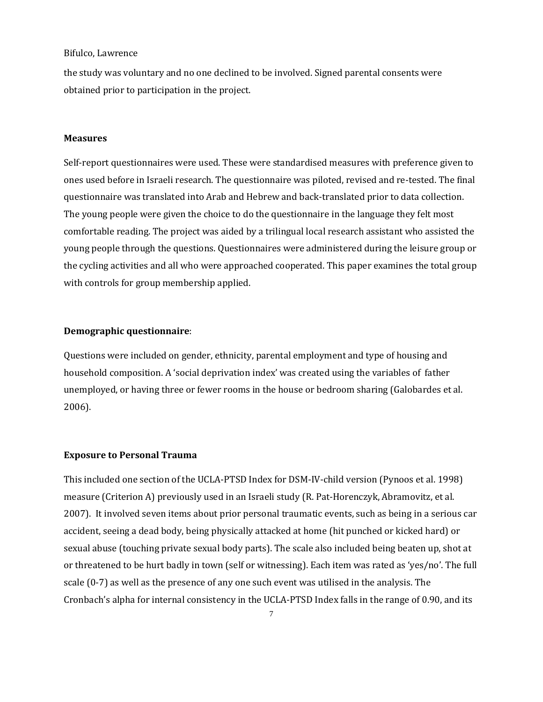the study was voluntary and no one declined to be involved. Signed parental consents were obtained prior to participation in the project.

#### **Measures**

Self-report questionnaires were used. These were standardised measures with preference given to ones used before in Israeli research. The questionnaire was piloted, revised and re-tested. The final questionnaire was translated into Arab and Hebrew and back-translated prior to data collection. The young people were given the choice to do the questionnaire in the language they felt most comfortable reading. The project was aided by a trilingual local research assistant who assisted the young people through the questions. Questionnaires were administered during the leisure group or the cycling activities and all who were approached cooperated. This paper examines the total group with controls for group membership applied.

## **Demographic questionnaire**:

Questions were included on gender, ethnicity, parental employment and type of housing and household composition. A 'social deprivation index' was created using the variables of father unemployed, or having three or fewer rooms in the house or bedroom sharing [\(Galobardes et al.](https://paperpile.com/c/7KnH2C/KKSYj)  [2006\).](https://paperpile.com/c/7KnH2C/KKSYj) 

# **Exposure to Personal Trauma**

This included one section of the UCLA-PTSD Index for DSM-IV-child version [\(Pynoos et al. 1998\)](https://paperpile.com/c/7KnH2C/e874) measure (Criterion A) previously used in an Israeli stud[y \(R. Pat-Horenczyk, Abramovitz, et al.](https://paperpile.com/c/7KnH2C/0uM7)  [2007\).](https://paperpile.com/c/7KnH2C/0uM7) It involved seven items about prior personal traumatic events, such as being in a serious car accident, seeing a dead body, being physically attacked at home (hit punched or kicked hard) or sexual abuse (touching private sexual body parts). The scale also included being beaten up, shot at or threatened to be hurt badly in town (self or witnessing). Each item was rated as 'yes/no'. The full scale (0-7) as well as the presence of any one such event was utilised in the analysis. The Cronbach's alpha for internal consistency in the UCLA-PTSD Index falls in the range of 0.90, and its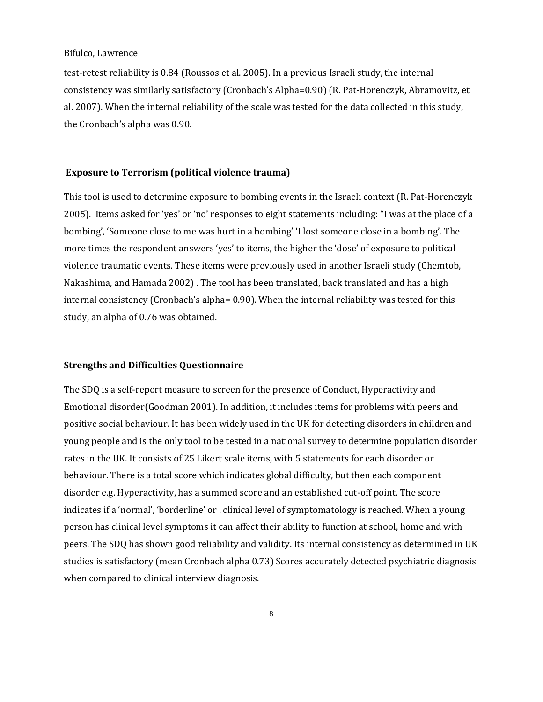test-retest reliability is 0.84 [\(Roussos et al. 2005\).](https://paperpile.com/c/7KnH2C/dpdB) In a previous Israeli study, the internal consistency was similarly satisfactory (Cronbach's Alpha=0.90) [\(R. Pat-Horenczyk, Abramovitz, et](https://paperpile.com/c/7KnH2C/0uM7)  [al. 2007\).](https://paperpile.com/c/7KnH2C/0uM7) When the internal reliability of the scale was tested for the data collected in this study, the Cronbach's alpha was 0.90.

### **Exposure to Terrorism (political violence trauma)**

This tool is used to determine exposure to bombing events in the Israeli context [\(R. Pat-Horenczyk](https://paperpile.com/c/7KnH2C/nIe9)  [2005\)](https://paperpile.com/c/7KnH2C/nIe9). Items asked for 'yes' or 'no' responses to eight statements including: "I was at the place of a bombing', 'Someone close to me was hurt in a bombing' 'I lost someone close in a bombing'. The more times the respondent answers 'yes' to items, the higher the 'dose' of exposure to political violence traumatic events. These items were previously used in another Israeli study [\(Chemtob,](https://paperpile.com/c/7KnH2C/EKQi)  [Nakashima, and Hamada 2002\)](https://paperpile.com/c/7KnH2C/EKQi) . The tool has been translated, back translated and has a high internal consistency (Cronbach's alpha= 0.90). When the internal reliability was tested for this study, an alpha of 0.76 was obtained.

# **Strengths and Difficulties Questionnaire**

The SDQ is a self-report measure to screen for the presence of Conduct, Hyperactivity and Emotional disorde[r\(Goodman 2001\).](https://paperpile.com/c/7KnH2C/9FdK) In addition, it includes items for problems with peers and positive social behaviour. It has been widely used in the UK for detecting disorders in children and young people and is the only tool to be tested in a national survey to determine population disorder rates in the UK. It consists of 25 Likert scale items, with 5 statements for each disorder or behaviour. There is a total score which indicates global difficulty, but then each component disorder e.g. Hyperactivity, has a summed score and an established cut-off point. The score indicates if a 'normal', 'borderline' or . clinical level of symptomatology is reached. When a young person has clinical level symptoms it can affect their ability to function at school, home and with peers. The SDQ has shown good reliability and validity. Its internal consistency as determined in UK studies is satisfactory (mean Cronbach alpha 0.73) Scores accurately detected psychiatric diagnosis when compared to clinical interview diagnosis.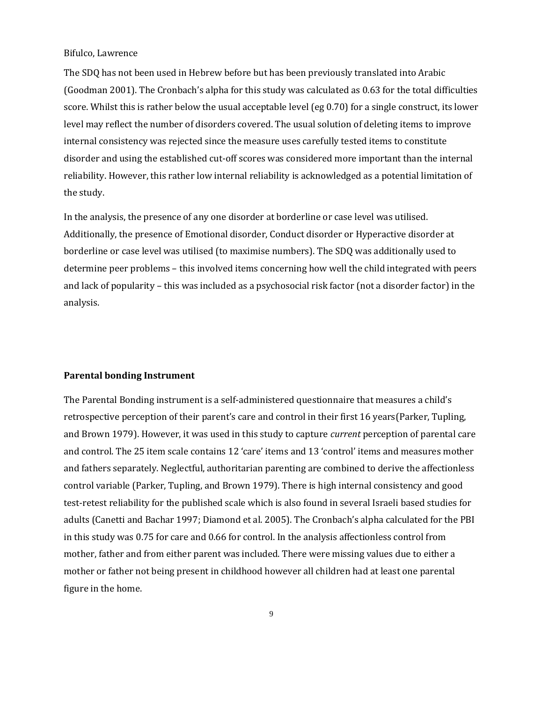The SDQ has not been used in Hebrew before but has been previously translated into Arabic [\(Goodman 2001\)](https://paperpile.com/c/7KnH2C/9FdK). The Cronbach's alpha for this study was calculated as 0.63 for the total difficulties score. Whilst this is rather below the usual acceptable level (eg 0.70) for a single construct, its lower level may reflect the number of disorders covered. The usual solution of deleting items to improve internal consistency was rejected since the measure uses carefully tested items to constitute disorder and using the established cut-off scores was considered more important than the internal reliability. However, this rather low internal reliability is acknowledged as a potential limitation of the study.

In the analysis, the presence of any one disorder at borderline or case level was utilised. Additionally, the presence of Emotional disorder, Conduct disorder or Hyperactive disorder at borderline or case level was utilised (to maximise numbers). The SDQ was additionally used to determine peer problems – this involved items concerning how well the child integrated with peers and lack of popularity – this was included as a psychosocial risk factor (not a disorder factor) in the analysis.

### **Parental bonding Instrument**

The Parental Bonding instrument is a self-administered questionnaire that measures a child's retrospective perception of their parent's care and control in their first 16 years[\(Parker, Tupling,](https://paperpile.com/c/7KnH2C/i3F7)  [and Brown 1979\).](https://paperpile.com/c/7KnH2C/i3F7) However, it was used in this study to capture *current* perception of parental care and control. The 25 item scale contains 12 'care' items and 13 'control' items and measures mother and fathers separately. Neglectful, authoritarian parenting are combined to derive the affectionless control variable [\(Parker, Tupling, and Brown 1979\).](https://paperpile.com/c/7KnH2C/i3F7) There is high internal consistency and good test-retest reliability for the published scale which is also found in several Israeli based studies for adult[s \(Canetti and Bachar 1997; Diamond et al. 2005\)](https://paperpile.com/c/7KnH2C/zbyX+TTbx). The Cronbach's alpha calculated for the PBI in this study was 0.75 for care and 0.66 for control. In the analysis affectionless control from mother, father and from either parent was included. There were missing values due to either a mother or father not being present in childhood however all children had at least one parental figure in the home.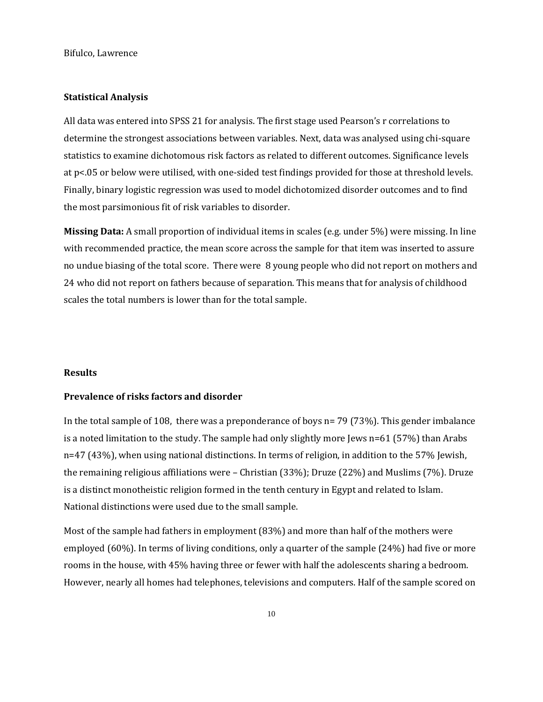# **Statistical Analysis**

All data was entered into SPSS 21 for analysis. The first stage used Pearson's r correlations to determine the strongest associations between variables. Next, data was analysed using chi-square statistics to examine dichotomous risk factors as related to different outcomes. Significance levels at p<.05 or below were utilised, with one-sided test findings provided for those at threshold levels. Finally, binary logistic regression was used to model dichotomized disorder outcomes and to find the most parsimonious fit of risk variables to disorder.

**Missing Data:** A small proportion of individual items in scales (e.g. under 5%) were missing. In line with recommended practice, the mean score across the sample for that item was inserted to assure no undue biasing of the total score. There were 8 young people who did not report on mothers and 24 who did not report on fathers because of separation. This means that for analysis of childhood scales the total numbers is lower than for the total sample.

#### **Results**

# **Prevalence of risks factors and disorder**

In the total sample of 108, there was a preponderance of boys n= 79 (73%). This gender imbalance is a noted limitation to the study. The sample had only slightly more Jews n=61 (57%) than Arabs n=47 (43%), when using national distinctions. In terms of religion, in addition to the 57% Jewish, the remaining religious affiliations were – Christian (33%); Druze (22%) and Muslims (7%). Druze is a distinct monotheistic religion formed in the tenth century in Egypt and related to Islam. National distinctions were used due to the small sample.

Most of the sample had fathers in employment (83%) and more than half of the mothers were employed (60%). In terms of living conditions, only a quarter of the sample (24%) had five or more rooms in the house, with 45% having three or fewer with half the adolescents sharing a bedroom. However, nearly all homes had telephones, televisions and computers. Half of the sample scored on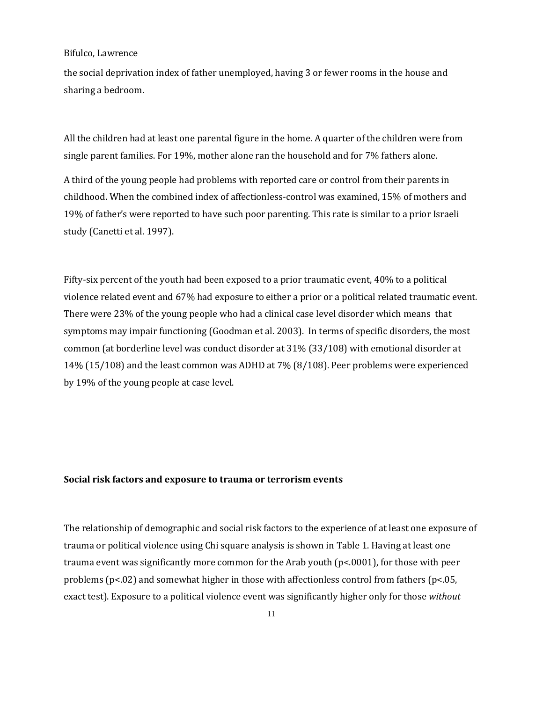the social deprivation index of father unemployed, having 3 or fewer rooms in the house and sharing a bedroom.

All the children had at least one parental figure in the home. A quarter of the children were from single parent families. For 19%, mother alone ran the household and for 7% fathers alone.

A third of the young people had problems with reported care or control from their parents in childhood. When the combined index of affectionless-control was examined, 15% of mothers and 19% of father's were reported to have such poor parenting. This rate is similar to a prior Israeli stud[y \(Canetti et al. 1997\).](https://paperpile.com/c/7KnH2C/I5dh)

Fifty-six percent of the youth had been exposed to a prior traumatic event, 40% to a political violence related event and 67% had exposure to either a prior or a political related traumatic event. There were 23% of the young people who had a clinical case level disorder which means that symptoms may impair functioning [\(Goodman et al. 2003\).](https://paperpile.com/c/7KnH2C/B0WQ) In terms of specific disorders, the most common (at borderline level was conduct disorder at 31% (33/108) with emotional disorder at 14% (15/108) and the least common was ADHD at 7% (8/108). Peer problems were experienced by 19% of the young people at case level.

#### **Social risk factors and exposure to trauma or terrorism events**

The relationship of demographic and social risk factors to the experience of at least one exposure of trauma or political violence using Chi square analysis is shown in Table 1. Having at least one trauma event was significantly more common for the Arab youth (p<.0001), for those with peer problems ( $p<02$ ) and somewhat higher in those with affectionless control from fathers ( $p<05$ , exact test). Exposure to a political violence event was significantly higher only for those *without*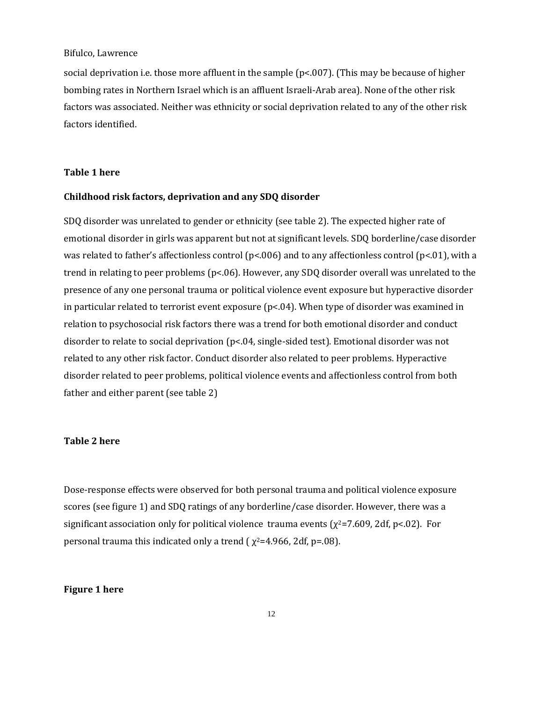social deprivation i.e. those more affluent in the sample (p<.007). (This may be because of higher bombing rates in Northern Israel which is an affluent Israeli-Arab area). None of the other risk factors was associated. Neither was ethnicity or social deprivation related to any of the other risk factors identified.

## **Table 1 here**

#### **Childhood risk factors, deprivation and any SDQ disorder**

SDQ disorder was unrelated to gender or ethnicity (see table 2). The expected higher rate of emotional disorder in girls was apparent but not at significant levels. SDQ borderline/case disorder was related to father's affectionless control ( $p<0.06$ ) and to any affectionless control ( $p<0.1$ ), with a trend in relating to peer problems (p<.06). However, any SDQ disorder overall was unrelated to the presence of any one personal trauma or political violence event exposure but hyperactive disorder in particular related to terrorist event exposure (p<.04). When type of disorder was examined in relation to psychosocial risk factors there was a trend for both emotional disorder and conduct disorder to relate to social deprivation (p<.04, single-sided test). Emotional disorder was not related to any other risk factor. Conduct disorder also related to peer problems. Hyperactive disorder related to peer problems, political violence events and affectionless control from both father and either parent (see table 2)

#### **Table 2 here**

Dose-response effects were observed for both personal trauma and political violence exposure scores (see figure 1) and SDQ ratings of any borderline/case disorder. However, there was a significant association only for political violence trauma events ( $\chi^2$ =7.609, 2df, p<.02). For personal trauma this indicated only a trend ( $\chi^2$ =4.966, 2df, p=.08).

# **Figure 1 here**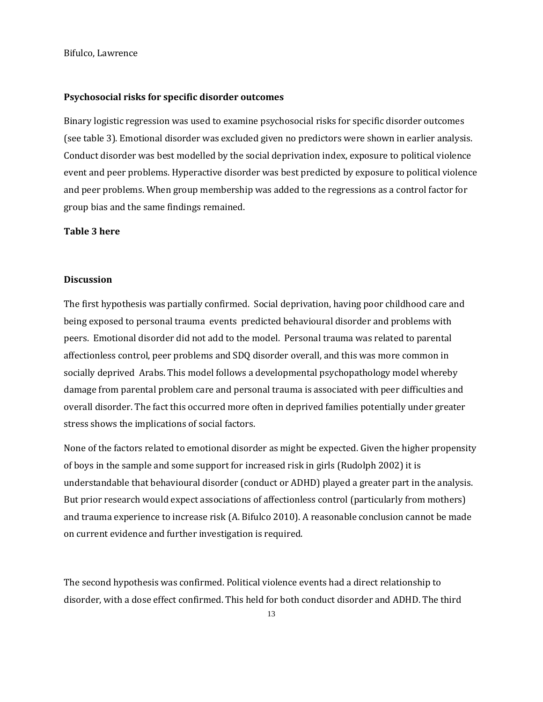### **Psychosocial risks for specific disorder outcomes**

Binary logistic regression was used to examine psychosocial risks for specific disorder outcomes (see table 3). Emotional disorder was excluded given no predictors were shown in earlier analysis. Conduct disorder was best modelled by the social deprivation index, exposure to political violence event and peer problems. Hyperactive disorder was best predicted by exposure to political violence and peer problems. When group membership was added to the regressions as a control factor for group bias and the same findings remained.

## **Table 3 here**

### **Discussion**

The first hypothesis was partially confirmed. Social deprivation, having poor childhood care and being exposed to personal trauma events predicted behavioural disorder and problems with peers. Emotional disorder did not add to the model. Personal trauma was related to parental affectionless control, peer problems and SDQ disorder overall, and this was more common in socially deprived Arabs. This model follows a developmental psychopathology model whereby damage from parental problem care and personal trauma is associated with peer difficulties and overall disorder. The fact this occurred more often in deprived families potentially under greater stress shows the implications of social factors.

None of the factors related to emotional disorder as might be expected. Given the higher propensity of boys in the sample and some support for increased risk in girls [\(Rudolph 2002\)](https://paperpile.com/c/7KnH2C/UAq8) it is understandable that behavioural disorder (conduct or ADHD) played a greater part in the analysis. But prior research would expect associations of affectionless control (particularly from mothers) and trauma experience to increase risk [\(A. Bifulco 2010\).](https://paperpile.com/c/7KnH2C/2COj) A reasonable conclusion cannot be made on current evidence and further investigation is required.

The second hypothesis was confirmed. Political violence events had a direct relationship to disorder, with a dose effect confirmed. This held for both conduct disorder and ADHD. The third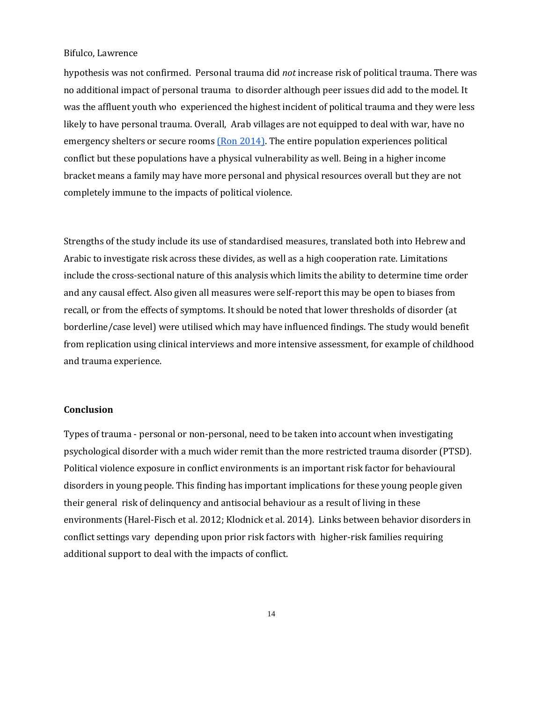hypothesis was not confirmed. Personal trauma did *not* increase risk of political trauma. There was no additional impact of personal trauma to disorder although peer issues did add to the model. It was the affluent youth who experienced the highest incident of political trauma and they were less likely to have personal trauma. Overall, Arab villages are not equipped to deal with war, have no emergency shelters or secure rooms [\(Ron 2014\).](https://paperpile.com/c/7KnH2C/fe2V) The entire population experiences political conflict but these populations have a physical vulnerability as well. Being in a higher income bracket means a family may have more personal and physical resources overall but they are not completely immune to the impacts of political violence.

Strengths of the study include its use of standardised measures, translated both into Hebrew and Arabic to investigate risk across these divides, as well as a high cooperation rate. Limitations include the cross-sectional nature of this analysis which limits the ability to determine time order and any causal effect. Also given all measures were self-report this may be open to biases from recall, or from the effects of symptoms. It should be noted that lower thresholds of disorder (at borderline/case level) were utilised which may have influenced findings. The study would benefit from replication using clinical interviews and more intensive assessment, for example of childhood and trauma experience.

### **Conclusion**

Types of trauma - personal or non-personal, need to be taken into account when investigating psychological disorder with a much wider remit than the more restricted trauma disorder (PTSD). Political violence exposure in conflict environments is an important risk factor for behavioural disorders in young people. This finding has important implications for these young people given their general risk of delinquency and antisocial behaviour as a result of living in these environments [\(Harel-Fisch et al. 2012; Klodnick et al. 2014\).](https://paperpile.com/c/7KnH2C/vOkJ+7OAd) Links between behavior disorders in conflict settings vary depending upon prior risk factors with higher-risk families requiring additional support to deal with the impacts of conflict.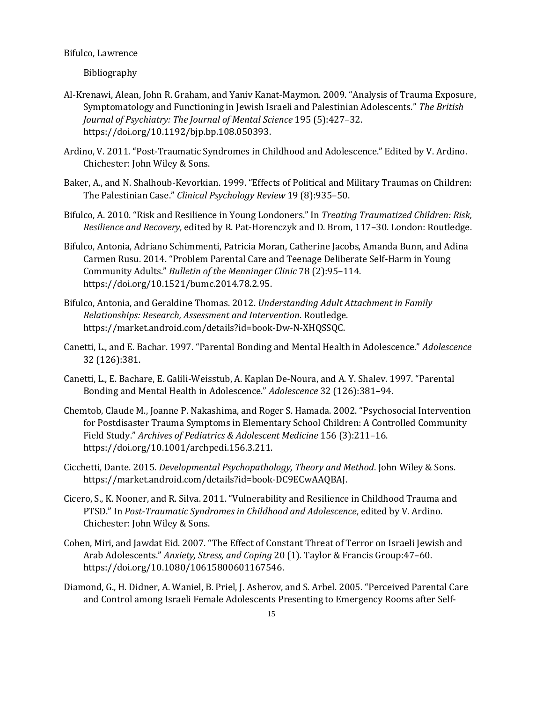Bibliography

- [Al-Krenawi, Alean, John R. Graham, and Yaniv Kanat-](http://paperpile.com/b/7KnH2C/v5S6)Maymon. 2009. "Analysis of Trauma Exposure, [Symptomatology and Functioning in Jewish Israeli and Palestinian Adolescents."](http://paperpile.com/b/7KnH2C/v5S6) *[The British](http://paperpile.com/b/7KnH2C/v5S6)  [Journal of Psychiatry: The Journal of Mental Science](http://paperpile.com/b/7KnH2C/v5S6)* [195 \(5\):427](http://paperpile.com/b/7KnH2C/v5S6)–32. [https://doi.org/](http://paperpile.com/b/7KnH2C/v5S6)[10.1192/bjp.bp.108.050393.](http://dx.doi.org/10.1192/bjp.bp.108.050393)
- Ardino, V. 2011. "Post-[Traumatic Syndromes in Childhood and Adolescence." Edited by V. Ardino.](http://paperpile.com/b/7KnH2C/RqgU)  [Chichester: John Wiley & Sons.](http://paperpile.com/b/7KnH2C/RqgU)
- Baker, A., and N. Shalhoub-[Kevorkian. 1999. "Effects of Political and Military Traumas on Children:](http://paperpile.com/b/7KnH2C/yhZ1)  [The Palestinian Case."](http://paperpile.com/b/7KnH2C/yhZ1) *[Clinical Psychology Review](http://paperpile.com/b/7KnH2C/yhZ1)* [19 \(8\):935](http://paperpile.com/b/7KnH2C/yhZ1)–50.
- [Bifulco, A. 2010. "Risk and Resilience in Young Londoners." In](http://paperpile.com/b/7KnH2C/2COj) *[Treating Traumatized Children: Risk,](http://paperpile.com/b/7KnH2C/2COj)  [Resilience and Recovery](http://paperpile.com/b/7KnH2C/2COj)*[, edited by R. Pat-Horenczyk and D. Brom, 117](http://paperpile.com/b/7KnH2C/2COj)–30. London: Routledge.
- [Bifulco, Antonia, Adriano Schimmenti, Patricia Moran, Catherine Jacobs, Amanda Bunn, and Adina](http://paperpile.com/b/7KnH2C/sdps)  [Carmen Rusu. 2014. "Problem Parental Care and Teenage Deliberate Self](http://paperpile.com/b/7KnH2C/sdps)-Harm in Young [Community Adults."](http://paperpile.com/b/7KnH2C/sdps) *[Bulletin of the Menninger Clinic](http://paperpile.com/b/7KnH2C/sdps)* [78 \(2\):95](http://paperpile.com/b/7KnH2C/sdps)–114. [https://doi.org/](http://paperpile.com/b/7KnH2C/sdps)[10.1521/bumc.2014.78.2.95.](http://dx.doi.org/10.1521/bumc.2014.78.2.95)
- [Bifulco, Antonia, and Geraldine](http://paperpile.com/b/7KnH2C/cv3w) Thomas. 2012. *[Understanding Adult Attachment in Family](http://paperpile.com/b/7KnH2C/cv3w)  [Relationships: Research, Assessment and Intervention](http://paperpile.com/b/7KnH2C/cv3w)*[. Routledge.](http://paperpile.com/b/7KnH2C/cv3w)  [https://market.android.com/details?id=book-Dw-N-XHQSSQC.](https://market.android.com/details?id=book-Dw-N-XHQSSQC)
- Canetti, L., and E[. Bachar. 1997. "Parental Bonding and Mental Health in Adolescence."](http://paperpile.com/b/7KnH2C/zbyX) *[Adolescence](http://paperpile.com/b/7KnH2C/zbyX)* [32 \(126\):381.](http://paperpile.com/b/7KnH2C/zbyX)
- [Canetti, L., E. Bachare, E. Galili-Weisstub, A. Kaplan De-](http://paperpile.com/b/7KnH2C/I5dh)Noura, and A. Y. Shalev. 1997. "Parental [Bonding and Mental Health in Adolescence."](http://paperpile.com/b/7KnH2C/I5dh) *[Adolescence](http://paperpile.com/b/7KnH2C/I5dh)* [32 \(126\):381](http://paperpile.com/b/7KnH2C/I5dh)–94.
- [Chemtob, Claude M., Joanne P. Nakashima, and Roger S. Hamada. 2002. "Psychosocial Intervention](http://paperpile.com/b/7KnH2C/EKQi)  [for Postdisaster Trauma Symptoms in Elementary School Children: A Controlled Community](http://paperpile.com/b/7KnH2C/EKQi)  [Field Study."](http://paperpile.com/b/7KnH2C/EKQi) *[Archives of Pediatrics & Adolescent Medicine](http://paperpile.com/b/7KnH2C/EKQi)* [156 \(3\):211](http://paperpile.com/b/7KnH2C/EKQi)–16. [https://doi.org/](http://paperpile.com/b/7KnH2C/EKQi)[10.1001/archpedi.156.3.211.](http://dx.doi.org/10.1001/archpedi.156.3.211)
- [Cicchetti, Dante. 2015.](http://paperpile.com/b/7KnH2C/K6wM) *[Developmental Psychopathology, Theory and Method](http://paperpile.com/b/7KnH2C/K6wM)*[. John Wiley & Sons.](http://paperpile.com/b/7KnH2C/K6wM)  [https://market.android.com/details?id=book-DC9ECwAAQBAJ.](https://market.android.com/details?id=book-DC9ECwAAQBAJ)
- [Cicero, S., K. Nooner, and R. Silva. 2011. "Vulnerability and Resilience in Childhood Trauma and](http://paperpile.com/b/7KnH2C/iw5B)  [PTSD." In](http://paperpile.com/b/7KnH2C/iw5B) *[Post-Traumatic Syndromes in Childhood and Adolescence](http://paperpile.com/b/7KnH2C/iw5B)*[, edited by V. Ardino.](http://paperpile.com/b/7KnH2C/iw5B)  [Chichester: John Wiley & Sons.](http://paperpile.com/b/7KnH2C/iw5B)
- [Cohen, Miri, and Jawdat Eid. 2007. "The Effect of Constant Threat of Terror on Israeli Jewish and](http://paperpile.com/b/7KnH2C/IO6I)  [Arab Adolescents."](http://paperpile.com/b/7KnH2C/IO6I) *[Anxiety, Stress, and Coping](http://paperpile.com/b/7KnH2C/IO6I)* [20 \(1\). Taylor & Francis Group:47](http://paperpile.com/b/7KnH2C/IO6I)–60. [https://doi.org/10.1080/10615800601167546.](http://paperpile.com/b/7KnH2C/IO6I)
- Diamond[, G., H. Didner, A. Waniel, B. Priel, J. Asherov, and S. Arbel. 2005. "Perceived Parental Care](http://paperpile.com/b/7KnH2C/TTbx)  [and Control among Israeli Female Adolescents Presenting to Emergency Rooms after Self-](http://paperpile.com/b/7KnH2C/TTbx)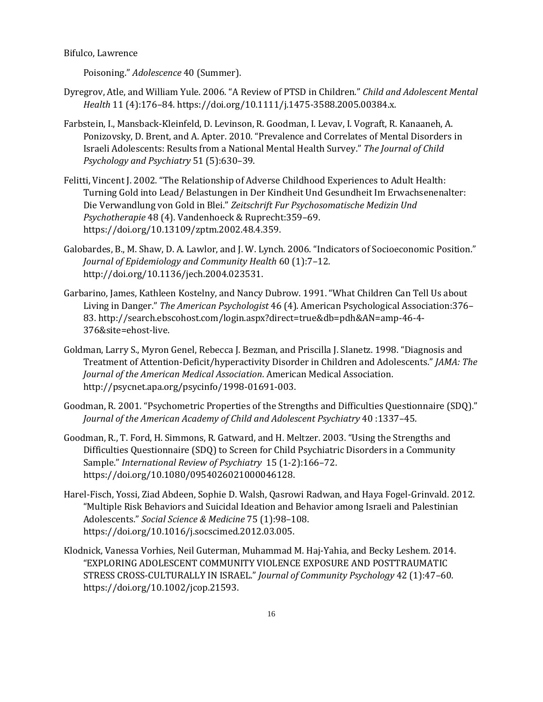[Poisoning."](http://paperpile.com/b/7KnH2C/TTbx) *[Adolescence](http://paperpile.com/b/7KnH2C/TTbx)* [40 \(Summer\).](http://paperpile.com/b/7KnH2C/TTbx)

- [Dyregrov, Atle, and William Yule. 2006. "A Review of PTSD in Children."](http://paperpile.com/b/7KnH2C/iQHi) *[Child and Adolescent Mental](http://paperpile.com/b/7KnH2C/iQHi)  [Health](http://paperpile.com/b/7KnH2C/iQHi)* 11 (4):176–[84. https://doi.org/](http://paperpile.com/b/7KnH2C/iQHi)[10.1111/j.1475-3588.2005.00384.x.](http://dx.doi.org/10.1111/j.1475-3588.2005.00384.x)
- [Farbstein, I., Mansback-Kleinfeld, D. Levinson, R. Goodman, I. Levav, I. Vograft, R. Kanaaneh, A.](http://paperpile.com/b/7KnH2C/xjMg)  [Ponizovsky, D. Brent, and A. Apter. 2010. "Prevalence and Correlates of Mental Disorders](http://paperpile.com/b/7KnH2C/xjMg) in [Israeli Adolescents: Results from a National Mental Health Survey."](http://paperpile.com/b/7KnH2C/xjMg) *[The Journal of Child](http://paperpile.com/b/7KnH2C/xjMg)  [Psychology and Psychiatry](http://paperpile.com/b/7KnH2C/xjMg)* [51 \(5\):630](http://paperpile.com/b/7KnH2C/xjMg)–39.
- [Felitti, Vincent J. 2002. "The Relationship of Adverse Childhood Experiences to Adult Health:](http://paperpile.com/b/7KnH2C/SktD)  [Turning Gold into Lead/ Belastungen in Der Kindheit Und Gesundheit Im Erwachsenenalter:](http://paperpile.com/b/7KnH2C/SktD)  [Die Verwandlung von Gold in Blei."](http://paperpile.com/b/7KnH2C/SktD) *[Zeitschrift Fur Psychosomatische Medizin Und](http://paperpile.com/b/7KnH2C/SktD)  [Psychotherapie](http://paperpile.com/b/7KnH2C/SktD)* [48 \(4\). Vandenhoeck & Ruprecht:359](http://paperpile.com/b/7KnH2C/SktD)–69. [https://doi.org/10.13109/zptm.2002.48.4.359.](https://doi.org/10.13109/zptm.2002.48.4.359)
- [Galobardes, B., M. Shaw, D. A. Lawlor, and J. W. Lynch. 2006. "Indicators of Socioeconomic Position."](http://paperpile.com/b/7KnH2C/KKSYj)  *[Journal of Epidemiology and Community Health](http://paperpile.com/b/7KnH2C/KKSYj)* [60 \(1\):7](http://paperpile.com/b/7KnH2C/KKSYj)–12. [http://doi.org/10.1136/jech.2004.023531.](http://doi.org/10.1136/jech.2004.023531)
- Garbarino, James, Kathleen Kostel[ny, and Nancy Dubrow. 1991. "What Children Can Tell Us about](http://paperpile.com/b/7KnH2C/qoNV)  [Living in Danger."](http://paperpile.com/b/7KnH2C/qoNV) *[The American Psychologist](http://paperpile.com/b/7KnH2C/qoNV)* [46 \(4\). American Psychological Association:376](http://paperpile.com/b/7KnH2C/qoNV)– [83. http://search.ebscohost.com/login.aspx?direct=true&db=pdh&AN=amp-46-4-](http://paperpile.com/b/7KnH2C/qoNV) [376&site=ehost-live.](http://search.ebscohost.com/login.aspx?direct=true&db=pdh&AN=amp-46-4-376&site=ehost-live)
- [Goldman, Larry S., Myron Genel, Rebecca J. Bezman, and Priscilla J. Slanetz. 1998. "Diagnosis and](http://paperpile.com/b/7KnH2C/GpAD)  Treatment of Attention-[Deficit/hyperactivity Disorder in Children and Adolescents."](http://paperpile.com/b/7KnH2C/GpAD) *[JAMA: The](http://paperpile.com/b/7KnH2C/GpAD)  [Journal of the American Medical Association](http://paperpile.com/b/7KnH2C/GpAD)*[. American Medical Association.](http://paperpile.com/b/7KnH2C/GpAD)  [http://psycnet.apa.org/psycinfo/1998-01691-003.](http://psycnet.apa.org/psycinfo/1998-01691-003)
- [Goodman, R. 2001. "Psychometric Properties of the Strengths and Difficulties Questionnaire \(SDQ\)."](http://paperpile.com/b/7KnH2C/9FdK)  *[Journal of the American Academy of Child and Adolescent Psychiatry](http://paperpile.com/b/7KnH2C/9FdK)* [40 :1337](http://paperpile.com/b/7KnH2C/9FdK)–45.
- Goodman, R., T. Ford, H. [Simmons, R. Gatward, and H. Meltzer. 2003. "Using the Strengths and](http://paperpile.com/b/7KnH2C/B0WQ)  [Difficulties Questionnaire \(SDQ\) to Screen for Child Psychiatric Disorders in a Community](http://paperpile.com/b/7KnH2C/B0WQ)  [Sample."](http://paperpile.com/b/7KnH2C/B0WQ) *[International Review of Psychiatry](http://paperpile.com/b/7KnH2C/B0WQ)* [15 \(1-2\):166](http://paperpile.com/b/7KnH2C/B0WQ)–72. [https://doi.org/](http://paperpile.com/b/7KnH2C/B0WQ)[10.1080/0954026021000046128.](http://dx.doi.org/10.1080/0954026021000046128)
- [Harel-Fisch, Yossi, Ziad Abdeen, Sophie D. Walsh, Qasrowi Radwan, and Haya Fogel-Grinvald. 2012.](http://paperpile.com/b/7KnH2C/vOkJ)  ["Multiple Risk Behaviors and Suicidal Ideation and Behavior among Israeli and Palestinian](http://paperpile.com/b/7KnH2C/vOkJ)  [Adolescents."](http://paperpile.com/b/7KnH2C/vOkJ) *[Social Science & Medicine](http://paperpile.com/b/7KnH2C/vOkJ)* [75 \(1\):98](http://paperpile.com/b/7KnH2C/vOkJ)–108. [https://doi.org/](http://paperpile.com/b/7KnH2C/vOkJ)[10.1016/j.socscimed.2012.03.005.](http://dx.doi.org/10.1016/j.socscimed.2012.03.005)
- [Klodnick, Vanessa Vorhies, Neil Guterman, Muhammad M. Haj-Yahia, and Becky Leshem. 2014.](http://paperpile.com/b/7KnH2C/7OAd)  ["EXPLORING ADOLESCENT COMMUNITY VIOLENCE EXPOSURE A](http://paperpile.com/b/7KnH2C/7OAd)ND POSTTRAUMATIC STRESS CROSS-[CULTURALLY IN ISRAEL."](http://paperpile.com/b/7KnH2C/7OAd) *[Journal of Community Psychology](http://paperpile.com/b/7KnH2C/7OAd)* [42 \(1\):47](http://paperpile.com/b/7KnH2C/7OAd)–60. [https://doi.org/](http://paperpile.com/b/7KnH2C/7OAd)[10.1002/jcop.21593.](http://dx.doi.org/10.1002/jcop.21593)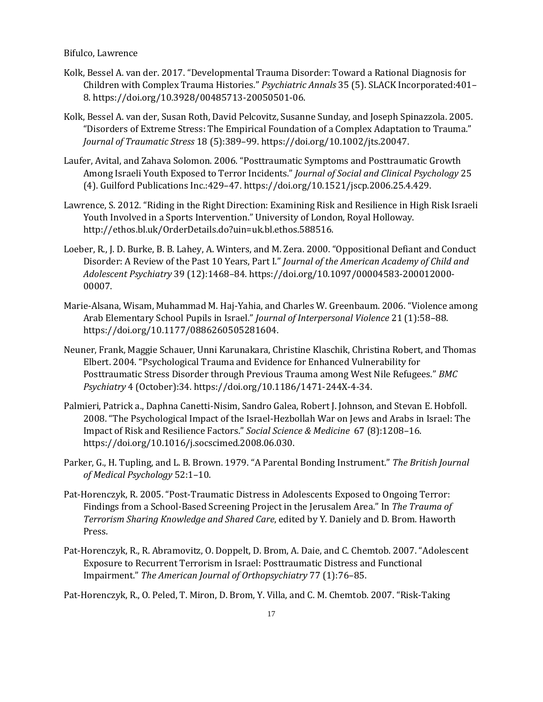- [Kolk, Bessel A. van der. 2017. "Developmental Trauma Disorder: Toward a Rational Diagnosis for](http://paperpile.com/b/7KnH2C/2z6W)  Children w[ith Complex Trauma Histories."](http://paperpile.com/b/7KnH2C/2z6W) *[Psychiatric Annals](http://paperpile.com/b/7KnH2C/2z6W)* [35 \(5\). SLACK Incorporated:401](http://paperpile.com/b/7KnH2C/2z6W)– [8. https://doi.org/10.3928/00485713-20050501-06.](http://paperpile.com/b/7KnH2C/2z6W)
- [Kolk, Bessel A. van der, Susan Roth, David Pelcovitz, Susanne Sunday, and Joseph Spinazzola. 2005.](http://paperpile.com/b/7KnH2C/umQF)  ["Disorders of Extreme Stress: The Empirical Foundation of a Complex Adaptation to Trauma."](http://paperpile.com/b/7KnH2C/umQF)  *[Journal of Traumatic Stress](http://paperpile.com/b/7KnH2C/umQF)* 18 (5):389–[99. https://doi.org/](http://paperpile.com/b/7KnH2C/umQF)[10.1002/jts.20047.](http://dx.doi.org/10.1002/jts.20047)
- Laufer, Avital, and Zahava [Solomon. 2006. "Posttraumatic Symptoms and Posttraumatic Growth](http://paperpile.com/b/7KnH2C/oJtj)  [Among Israeli Youth Exposed to Terror Incidents."](http://paperpile.com/b/7KnH2C/oJtj) *[Journal of Social and Clinical Psychology](http://paperpile.com/b/7KnH2C/oJtj)* [25](http://paperpile.com/b/7KnH2C/oJtj)  [\(4\). Guilford Publications Inc.:429](http://paperpile.com/b/7KnH2C/oJtj)–47. https://doi.org[/10.1521/jscp.2006.25.4.429.](http://paperpile.com/b/7KnH2C/oJtj)
- [Lawrence, S. 2012. "Riding in the Right Direction: Examining Risk and Resilience in High Risk Israeli](http://paperpile.com/b/7KnH2C/NifZ)  [Youth Involved in a Sports Intervention." University of London, Royal Holloway.](http://paperpile.com/b/7KnH2C/NifZ)  [http://ethos.bl.uk/OrderDetails.do?uin=uk.bl.ethos.588516.](http://ethos.bl.uk/OrderDetails.do?uin=uk.bl.ethos.588516)
- [Loeber, R., J. D. Burke, B. B. Lahey, A. Winters, and M. Zera. 2000. "Oppos](http://paperpile.com/b/7KnH2C/ro4e)itional Defiant and Conduct [Disorder: A Review of the Past 10 Years, Part I."](http://paperpile.com/b/7KnH2C/ro4e) *[Journal of the American Academy of Child and](http://paperpile.com/b/7KnH2C/ro4e)  [Adolescent Psychiatry](http://paperpile.com/b/7KnH2C/ro4e)* 39 (12):1468–[84. https://doi.org/10.1097/00004583-200012000-](http://paperpile.com/b/7KnH2C/ro4e) [00007.](http://dx.doi.org/10.1097/00004583-200012000-00007)
- Marie-Alsana, Wisam, Muhammad M. Haj-[Yahia, and Charles W. Greenbaum. 2006. "Violence among](http://paperpile.com/b/7KnH2C/SHCj)  [Arab Elementary School Pupils in Israel."](http://paperpile.com/b/7KnH2C/SHCj) *[Journal of Interpersonal Violence](http://paperpile.com/b/7KnH2C/SHCj)* [21 \(1\):58](http://paperpile.com/b/7KnH2C/SHCj)–88. [https://doi.org/10.1177/0886260505281604.](http://paperpile.com/b/7KnH2C/SHCj)
- [Neuner, Frank, Maggie Schauer, Unni Karunakara, Christine Klaschik, Christina Robert, and Thomas](http://paperpile.com/b/7KnH2C/ibYA)  [Elbert. 2004. "Psychological Trauma and Evidence for Enhanced Vulnerability for](http://paperpile.com/b/7KnH2C/ibYA)  [Posttraumatic Stress Disorder through Previous Trauma among West Nile Refugees."](http://paperpile.com/b/7KnH2C/ibYA) *[BMC](http://paperpile.com/b/7KnH2C/ibYA)  [Psychiatry](http://paperpile.com/b/7KnH2C/ibYA)* [4 \(October\):34. https://doi.org/](http://paperpile.com/b/7KnH2C/ibYA)[10.1186/1471-244X-4-34.](http://dx.doi.org/10.1186/1471-244X-4-34)
- [Palmieri, Patrick a., Daphna Canetti-Nisim, Sandro Galea, Robert J. Johnson, and Stevan E. Hobfoll.](http://paperpile.com/b/7KnH2C/yaQh)  [2008. "The Psychological Impact of the Israel](http://paperpile.com/b/7KnH2C/yaQh)-Hezbollah War on Jews and Arabs in Israel: The [Impact of Risk and Resilience Factors."](http://paperpile.com/b/7KnH2C/yaQh) *[Social Science & Medicine](http://paperpile.com/b/7KnH2C/yaQh)* [67 \(8\):1208](http://paperpile.com/b/7KnH2C/yaQh)–16. [https://doi.org/](http://paperpile.com/b/7KnH2C/yaQh)[10.1016/j.socscimed.2008.06.030.](http://dx.doi.org/10.1016/j.socscimed.2008.06.030)
- [Parker, G., H. Tupling, and L. B. Brown. 1979. "A Parental Bonding Instrument."](http://paperpile.com/b/7KnH2C/i3F7) *[The British Journal](http://paperpile.com/b/7KnH2C/i3F7)  [of Medical Psychology](http://paperpile.com/b/7KnH2C/i3F7)* [52:1](http://paperpile.com/b/7KnH2C/i3F7)–10.
- Pat-Horenczyk, R. 2005. "Post[-Traumatic Distress in Adolescents Exposed to Ongoing Terror:](http://paperpile.com/b/7KnH2C/nIe9)  Findings from a School-[Based Screening Project in the Jerusalem Area." In](http://paperpile.com/b/7KnH2C/nIe9) *[The Trauma of](http://paperpile.com/b/7KnH2C/nIe9)  [Terrorism Sharing Knowledge and Shared Care](http://paperpile.com/b/7KnH2C/nIe9)*[, edited by Y. Daniely and D. Brom. Haworth](http://paperpile.com/b/7KnH2C/nIe9)  [Press.](http://paperpile.com/b/7KnH2C/nIe9)
- Pat-[Horenczyk, R., R. Abramovitz, O. Doppelt, D. Brom, A. Daie, and C. Chemtob. 2007. "Adolescent](http://paperpile.com/b/7KnH2C/0uM7)  Exposure to [Recurrent Terrorism in Israel: Posttraumatic Distress and Functional](http://paperpile.com/b/7KnH2C/0uM7)  [Impairment."](http://paperpile.com/b/7KnH2C/0uM7) *[The American Journal of Orthopsychiatry](http://paperpile.com/b/7KnH2C/0uM7)* [77 \(1\):76](http://paperpile.com/b/7KnH2C/0uM7)–85.

Pat-[Horenczyk, R., O. Peled, T. Miron, D. Brom, Y. Villa, and C. M. Chemtob. 2007. "Risk](http://paperpile.com/b/7KnH2C/EQpY)-Taking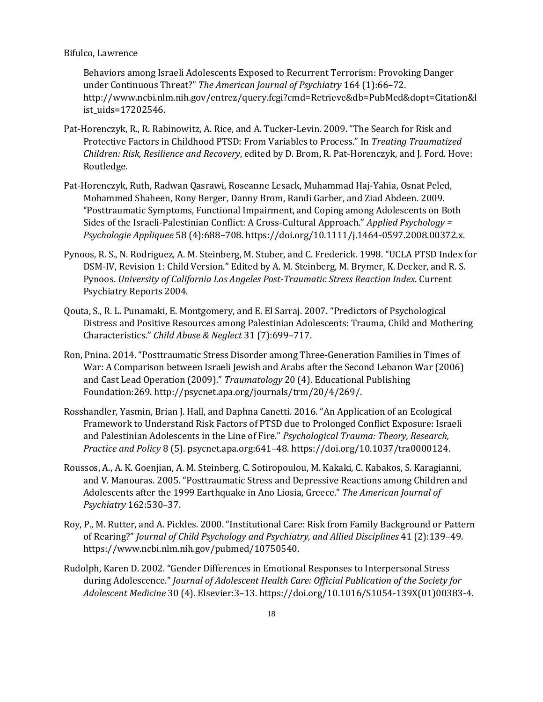[Behaviors among Israeli Adolescents Exposed to Recurrent Terrorism: Provoking Danger](http://paperpile.com/b/7KnH2C/EQpY)  [under Continuous Threat?"](http://paperpile.com/b/7KnH2C/EQpY) *[The American Journal of Psychiatry](http://paperpile.com/b/7KnH2C/EQpY)* [164 \(1\):66](http://paperpile.com/b/7KnH2C/EQpY)–72. [http://www.ncbi.nlm.nih.gov/entrez/query.fcgi?cmd=Retrieve&db=PubMed&dopt=Citation&l](http://www.ncbi.nlm.nih.gov/entrez/query.fcgi?cmd=Retrieve&db=PubMed&dopt=Citation&list_uids=17202546) [ist\\_uids=17202546.](http://www.ncbi.nlm.nih.gov/entrez/query.fcgi?cmd=Retrieve&db=PubMed&dopt=Citation&list_uids=17202546)

- [Pat-Horenczyk, R., R. Rabinowitz, A. Rice, and A. Tucker-](http://paperpile.com/b/7KnH2C/iCNO)Levin. 2009. "The Search for Risk and [Protective Factors in Childhood PTSD: From Variables to Process." In](http://paperpile.com/b/7KnH2C/iCNO) *[Treating Traumatized](http://paperpile.com/b/7KnH2C/iCNO)  [Children: Risk, Resilience and Recovery](http://paperpile.com/b/7KnH2C/iCNO)*[, edited by D. Brom, R. Pat-Horenczyk, and J. Ford. Hove:](http://paperpile.com/b/7KnH2C/iCNO)  [Routledge.](http://paperpile.com/b/7KnH2C/iCNO)
- [Pat-Horenczyk, Ruth, Radwan Qasrawi, Roseanne Lesack, Muhammad Haj-Yahia, Osnat Peled,](http://paperpile.com/b/7KnH2C/9TSg)  [Mohammed Shaheen, Rony Berger, Danny Brom, Randi Garber, and Ziad Abdeen. 2009.](http://paperpile.com/b/7KnH2C/9TSg)  ["Posttraumatic Symptoms, Functional Impairment, and Coping among Adolesc](http://paperpile.com/b/7KnH2C/9TSg)ents on Both [Sides of the Israeli-Palestinian Conflict: A Cross-](http://paperpile.com/b/7KnH2C/9TSg)Cultural Approach." *[Applied Psychology =](http://paperpile.com/b/7KnH2C/9TSg)  [Psychologie Appliquee](http://paperpile.com/b/7KnH2C/9TSg)* 58 (4):688–[708. https://doi.org/10.1111/j.1464-0597.2008.00372.x.](http://paperpile.com/b/7KnH2C/9TSg)
- Pynoos, R. S., N. Rodriguez, A. M[. Steinberg, M. Stuber, and C. Frederick. 1998. "UCLA PTSD Index for](http://paperpile.com/b/7KnH2C/e874)  DSM-[IV, Revision 1: Child Version." Edited by A. M. Steinberg, M. Brymer, K. Decker, and R. S.](http://paperpile.com/b/7KnH2C/e874)  [Pynoos.](http://paperpile.com/b/7KnH2C/e874) *[University of California Los Angeles Post-Traumatic Stress Reaction Index](http://paperpile.com/b/7KnH2C/e874)*[. Current](http://paperpile.com/b/7KnH2C/e874)  [Psychiatry Reports 2004.](http://paperpile.com/b/7KnH2C/e874)
- [Qouta, S., R. L. Punamaki, E. Montgomery, and E. El Sarraj. 2007. "Pre](http://paperpile.com/b/7KnH2C/Phpf)dictors of Psychological [Distress and Positive Resources among Palestinian Adolescents: Trauma, Child and Mothering](http://paperpile.com/b/7KnH2C/Phpf)  [Characteristics."](http://paperpile.com/b/7KnH2C/Phpf) *[Child Abuse & Neglect](http://paperpile.com/b/7KnH2C/Phpf)* [31 \(7\):699](http://paperpile.com/b/7KnH2C/Phpf)–717.
- [Ron, Pnina. 2014. "Posttraumatic Stress Disorder among Three](http://paperpile.com/b/7KnH2C/ZpkV)-Generation Families in Times of [War: A Comparison between Israeli Jewish and Arabs after the Second Lebanon War \(2006\)](http://paperpile.com/b/7KnH2C/ZpkV)  [and Cast Lead Operation \(2009\)."](http://paperpile.com/b/7KnH2C/ZpkV) *[Traumatology](http://paperpile.com/b/7KnH2C/ZpkV)* [20 \(4\). Educational Publishing](http://paperpile.com/b/7KnH2C/ZpkV)  [Foundation:269.](http://paperpile.com/b/7KnH2C/ZpkV) [http://psycnet.apa.org/journals/trm/20/4/269/.](http://psycnet.apa.org/journals/trm/20/4/269/)
- [Rosshandler, Yasmin, Brian J. Hall, and Daphna Canetti. 2016. "An Application of an](http://paperpile.com/b/7KnH2C/tvZM) Ecological [Framework to Understand Risk Factors of PTSD due to Prolonged Conflict Exposure: Israeli](http://paperpile.com/b/7KnH2C/tvZM)  [and Palestinian Adolescents in the Line of Fire."](http://paperpile.com/b/7KnH2C/tvZM) *[Psychological Trauma: Theory, Research,](http://paperpile.com/b/7KnH2C/tvZM)  [Practice and](http://paperpile.com/b/7KnH2C/tvZM) Policy* [8 \(5\). psycnet.apa.org:641](http://paperpile.com/b/7KnH2C/tvZM)–48. https://doi.org[/10.1037/tra0000124.](http://dx.doi.org/10.1037/tra0000124)
- [Roussos, A., A. K. Goenjian, A. M. Steinberg, C. Sotiropoulou, M. Kakaki, C. Kabakos, S. Karagianni,](http://paperpile.com/b/7KnH2C/dpdB)  [and V. Manouras. 2005. "Posttraumatic Stress and Depressive Reactions among Children and](http://paperpile.com/b/7KnH2C/dpdB)  Adolescents after the 1999 Ea[rthquake in Ano Liosia, Greece."](http://paperpile.com/b/7KnH2C/dpdB) *[The American Journal of](http://paperpile.com/b/7KnH2C/dpdB)  [Psychiatry](http://paperpile.com/b/7KnH2C/dpdB)* [162:530](http://paperpile.com/b/7KnH2C/dpdB)–37.
- Roy, P., M. Ru[tter, and A. Pickles. 2000. "Institutional Care: Risk from Family Background or Pattern](http://paperpile.com/b/7KnH2C/uVeE)  [of Rearing?"](http://paperpile.com/b/7KnH2C/uVeE) *[Journal of Child Psychology and Psychiatry, and Allied Disciplines](http://paperpile.com/b/7KnH2C/uVeE)* [41 \(2\):139](http://paperpile.com/b/7KnH2C/uVeE)–49. [https://www.ncbi.nlm.nih.gov/pubmed/10750540.](https://www.ncbi.nlm.nih.gov/pubmed/10750540)
- Rud[olph, Karen D. 2002. "Gender Differences in Emotional Responses to Interpersonal Stress](http://paperpile.com/b/7KnH2C/UAq8)  [during Adolescence."](http://paperpile.com/b/7KnH2C/UAq8) *[Journal of Adolescent Health Care: Official Publication of the Society for](http://paperpile.com/b/7KnH2C/UAq8)  [Adolescent Medicine](http://paperpile.com/b/7KnH2C/UAq8)* 30 (4). Elsevier:3–[13. https://doi.org/10.1016/S1054-139X\(01\)00383-4.](http://paperpile.com/b/7KnH2C/UAq8)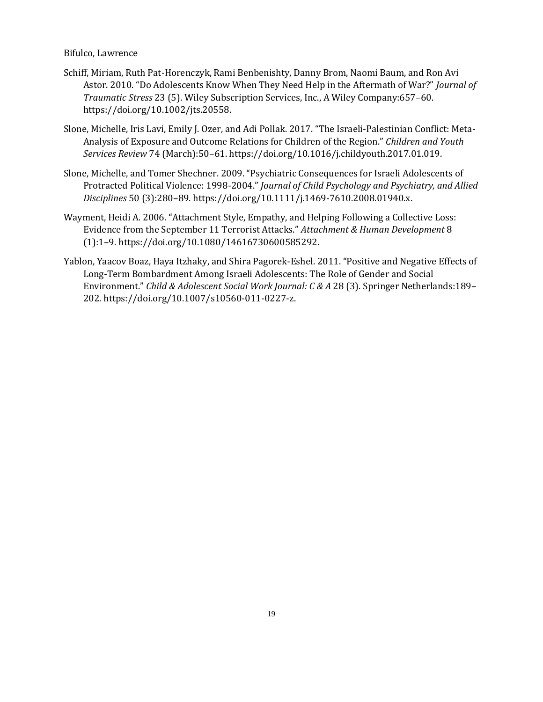- [Schiff, Miriam, Ruth Pat-Horenczyk, Rami Benbenishty, Danny Brom, Naomi Baum, and Ron Avi](http://paperpile.com/b/7KnH2C/skGh)  [Astor. 2010. "Do Adolescents Know When They Need Help in the Aftermath of War?"](http://paperpile.com/b/7KnH2C/skGh) *[Journal of](http://paperpile.com/b/7KnH2C/skGh)  [Traumatic Stress](http://paperpile.com/b/7KnH2C/skGh)* [23 \(5\). Wiley Subscription Services, Inc., A Wiley Company:657](http://paperpile.com/b/7KnH2C/skGh)–60. [https://doi.org/](http://paperpile.com/b/7KnH2C/skGh)[10.1002/jts.20558.](http://dx.doi.org/10.1002/jts.20558)
- [Slone, Michelle, Iris Lavi, Emily J. Ozer, and Adi Pollak. 2017. "The Israeli](http://paperpile.com/b/7KnH2C/OX4X)-Palestinian Conflict: Meta-[Analysis of Exposure and Outcome Relations](http://paperpile.com/b/7KnH2C/OX4X) for Children of the Region." *[Children and Youth](http://paperpile.com/b/7KnH2C/OX4X)  [Services Review](http://paperpile.com/b/7KnH2C/OX4X)* 74 (March):50–[61. https://doi.org/10.1016/j.childyouth.2017.01.019.](http://paperpile.com/b/7KnH2C/OX4X)
- [Slone, Michelle, and Tomer Shechner. 2009. "Psychiatric Consequences for Israeli Adolescents o](http://paperpile.com/b/7KnH2C/xfBG)f [Protracted Political Violence: 1998-](http://paperpile.com/b/7KnH2C/xfBG)2004." *[Journal of Child Psychology and Psychiatry, and Allied](http://paperpile.com/b/7KnH2C/xfBG)  [Disciplines](http://paperpile.com/b/7KnH2C/xfBG)* 50 (3):280–[89. https://doi.org/10.1111/j.1469-7610.2008.01940.x.](http://paperpile.com/b/7KnH2C/xfBG)
- [Wayment, Heidi A. 2006. "Attachment Style, Empathy, and Helping Following a Collective Loss:](http://paperpile.com/b/7KnH2C/6a1q)  [Evidence from the September 11 Terrorist Attacks."](http://paperpile.com/b/7KnH2C/6a1q) *[Attachment & Human Development](http://paperpile.com/b/7KnH2C/6a1q)* [8](http://paperpile.com/b/7KnH2C/6a1q)  (1):1–[9. https://doi.org/10.1080/14616730600585292.](http://paperpile.com/b/7KnH2C/6a1q)
- [Yablon, Yaacov Boaz, Haya Itzhaky, and Shira Pagorek-](http://paperpile.com/b/7KnH2C/MCyp)Eshel. 2011. "Positive and Negative Effects of [Long-Term Bombardment Among Israeli Adolescents: The Role of Gender and Social](http://paperpile.com/b/7KnH2C/MCyp)  [Environment."](http://paperpile.com/b/7KnH2C/MCyp) *[Child & Adolescent Social Work Journal: C & A](http://paperpile.com/b/7KnH2C/MCyp)* [28 \(3\). Springer Netherlands:189](http://paperpile.com/b/7KnH2C/MCyp)– [202. https://doi.org/](http://paperpile.com/b/7KnH2C/MCyp)[10.1007/s10560-011-0227-z.](http://dx.doi.org/10.1007/s10560-011-0227-z)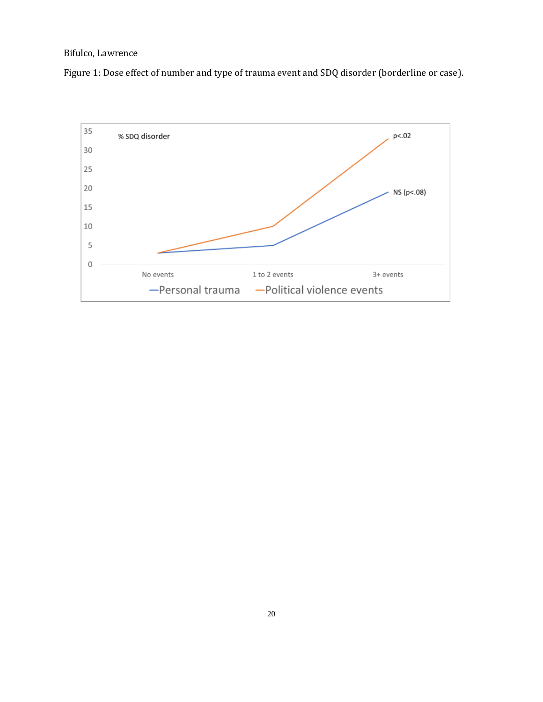Figure 1: Dose effect of number and type of trauma event and SDQ disorder (borderline or case).

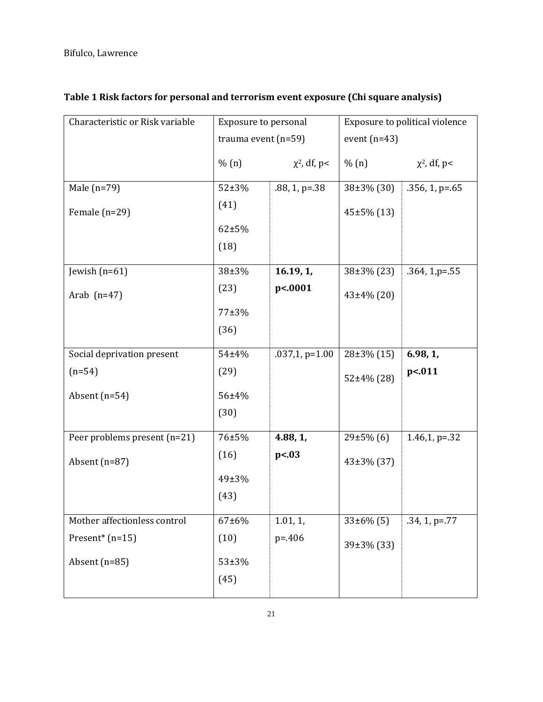| Exposure to personal  |                   | Exposure to political violence |                    |  |
|-----------------------|-------------------|--------------------------------|--------------------|--|
| trauma event $(n=59)$ |                   | event $(n=43)$                 |                    |  |
| % (n)                 | $\chi^2$ , df, p< | % (n)                          | $\chi^2$ , df, p<  |  |
| $52 + 3%$             | $.88, 1, p = .38$ | $38\pm3\%$ (30)                | $.356, 1, p = .65$ |  |
| (41)                  |                   | 45±5% (13)                     |                    |  |
| $62 + 5%$             |                   |                                |                    |  |
| (18)                  |                   |                                |                    |  |
| 38±3%                 | 16.19, 1,         | $38\pm3\%$ (23)                | $.364, 1, p = .55$ |  |
| (23)                  | p<.0001           | 43±4% (20)                     |                    |  |
| 77±3%                 |                   |                                |                    |  |
| (36)                  |                   |                                |                    |  |
| 54±4%                 | $.037,1$ , p=1.00 | $28\pm3\%$ (15)                | 6.98, 1,           |  |
| (29)                  |                   | $52\pm4\%$ (28)                | p<.011             |  |
| 56±4%                 |                   |                                |                    |  |
| (30)                  |                   |                                |                    |  |
| 76±5%                 | 4.88, 1,          | $29\pm5\%$ (6)                 | 1.46,1, $p=.32$    |  |
| (16)                  | p<.03             | $43\pm3\%$ (37)                |                    |  |
| 49±3%                 |                   |                                |                    |  |
| (43)                  |                   |                                |                    |  |
| $67 + 6\%$            | 1.01, 1,          | $33\pm6\%$ (5)                 | .34, 1, p=.77      |  |
| (10)                  | $p = 406$         | 39±3% (33)                     |                    |  |
| 53±3%                 |                   |                                |                    |  |
| (45)                  |                   |                                |                    |  |
|                       |                   |                                |                    |  |

# **Table 1 Risk factors for personal and terrorism event exposure (Chi square analysis)**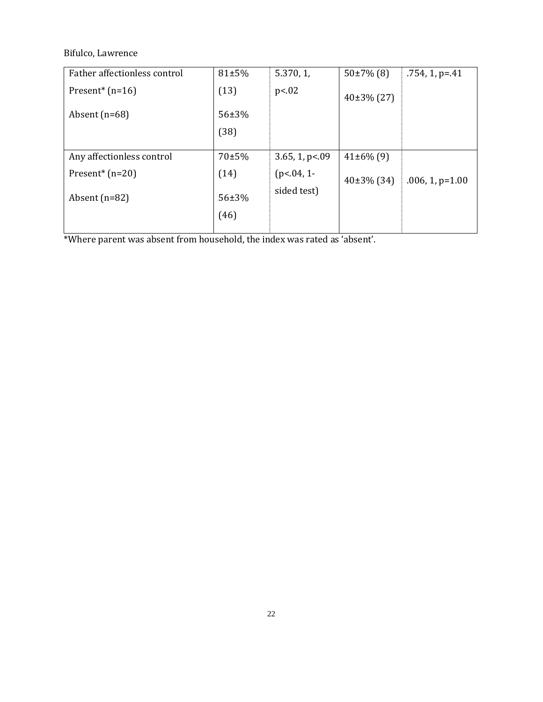Bifulco, Lawrence

| Father affectionless control    | 81±5%         | 5.370, 1        | $50\pm7\%$ (8)  | $.754, 1, p = .41$ |  |
|---------------------------------|---------------|-----------------|-----------------|--------------------|--|
| Present <sup>*</sup> ( $n=16$ ) | (13)          | p<.02           | $40\pm3\%$ (27) |                    |  |
| Absent $(n=68)$                 | 56±3%         |                 |                 |                    |  |
|                                 | (38)          |                 |                 |                    |  |
|                                 |               |                 |                 |                    |  |
| Any affectionless control       | 70±5%         | 3.65, 1, p<0.09 | $41\pm6\%$ (9)  |                    |  |
| Present <sup>*</sup> $(n=20)$   | (14)          | $(p<.04, 1-$    | $40\pm3\%$ (34) | $.006, 1, p=1.00$  |  |
| Absent $(n=82)$                 | 56±3%<br>(46) | sided test)     |                 |                    |  |
|                                 |               |                 |                 |                    |  |

\*Where parent was absent from household, the index was rated as 'absent'.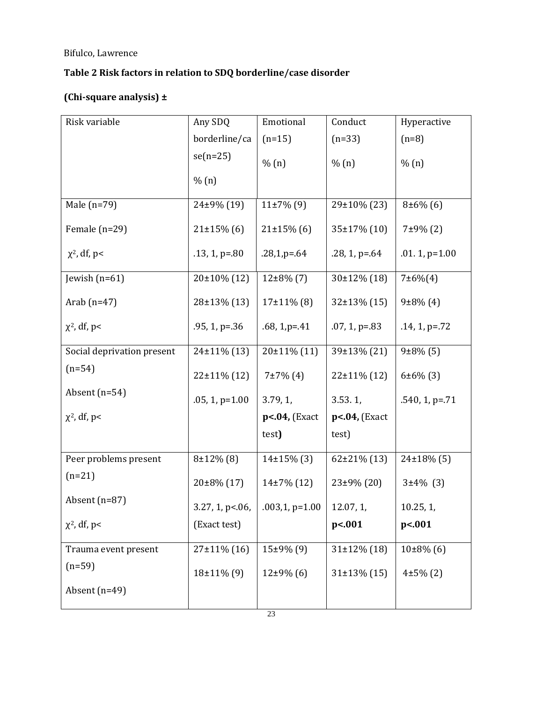# **Table 2 Risk factors in relation to SDQ borderline/case disorder**

# **(Chi-square analysis) ±**

| Risk variable              | Any SDQ            | Emotional         | Conduct            | Hyperactive         |
|----------------------------|--------------------|-------------------|--------------------|---------------------|
|                            | borderline/ca      | $(n=15)$          | $(n=33)$           | $(n=8)$             |
|                            | $se(n=25)$         | % (n)             | % (n)              | % (n)               |
|                            | % (n)              |                   |                    |                     |
| Male $(n=79)$              | 24±9% (19)         | $11\pm7\%$ (9)    | 29±10% (23)        | $8±6\%$ (6)         |
| Female $(n=29)$            | $21\pm15\%$ (6)    | $21\pm15\%$ (6)   | 35±17% (10)        | $7±9\%$ (2)         |
| $\chi^2$ , df, p<          | $.13, 1, p = .80$  | $.28,1,p=64$      | $.28, 1, p = .64$  | $.01.1$ , p= $1.00$ |
| Jewish $(n=61)$            | 20±10% (12)        | $12\pm8\%$ (7)    | $30±12\%$ (18)     | $7±6\% (4)$         |
| Arab $(n=47)$              | 28±13% (13)        | $17\pm11\%$ (8)   | 32±13% (15)        | $9±8\%$ (4)         |
| $\chi^2$ , df, p<          | $.95, 1, p = .36$  | $.68, 1, p = .41$ | $.07, 1, p = .83$  | $.14, 1, p = .72$   |
| Social deprivation present | 24±11% (13)        | $20±11\%$ (11)    | 39±13% (21)        | $9±8\%$ (5)         |
| $(n=54)$                   | $22 \pm 11\%$ (12) | $7±7\%$ (4)       | $22 \pm 11\%$ (12) | $6±6\%$ (3)         |
| Absent $(n=54)$            | $.05, 1, p=1.00$   | 3.79, 1,          | 3.53.1,            | $.540, 1, p = .71$  |
| $\chi^2$ , df, p<          |                    | $p<.04$ , (Exact  | $p<.04$ , (Exact   |                     |
|                            |                    | test)             | test)              |                     |
| Peer problems present      | $8±12\%$ (8)       | $14\pm15\%$ (3)   | $62\pm21\%$ (13)   | $24\pm18\%$ (5)     |
| $(n=21)$                   | 20±8% (17)         | $14\pm7\%$ (12)   | 23±9% (20)         | $3±4\%$ (3)         |
| Absent (n=87)              | $3.27, 1, p<.06$ , | $.003, 1, p=1.00$ | 12.07, 1,          | 10.25, 1,           |
| $\chi^2$ , df, p<          | (Exact test)       |                   | p<.001             | p<.001              |
| Trauma event present       | $27±11\%$ (16)     | $15±9\%$ (9)      | $31\pm12\%$ (18)   | $10\pm8\%$ (6)      |
| $(n=59)$                   | 18±11% (9)         | $12\pm9\%$ (6)    | $31\pm13\%$ (15)   | $4±5\%(2)$          |
| Absent $(n=49)$            |                    |                   |                    |                     |
|                            |                    |                   |                    |                     |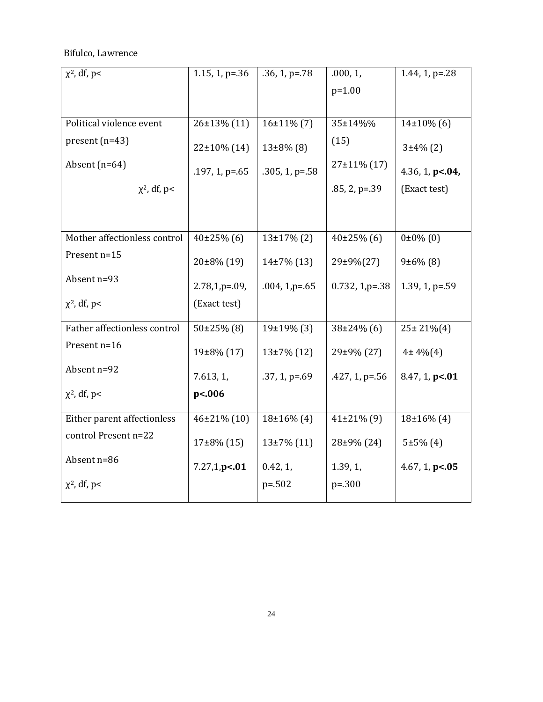| $\chi^2$ , df, p<            | $1.15, 1, p = .36$ | $.36, 1, p = .78$  | .000, 1,             | 1.44, 1, $p = 28$  |
|------------------------------|--------------------|--------------------|----------------------|--------------------|
|                              |                    |                    | $p=1.00$             |                    |
|                              |                    |                    |                      |                    |
| Political violence event     | 26±13% (11)        | $16\pm11\%$ (7)    | 35±14%%              | $14\pm10\%$ (6)    |
| $present (n=43)$             | $22\pm10\%$ (14)   | $13\pm8\%$ (8)     | (15)                 | $3±4\%$ (2)        |
| Absent $(n=64)$              | $.197, 1, p = .65$ | $.305, 1, p = .58$ | $27±11\%$ (17)       | 4.36, 1, $p<.04$ , |
| $\chi^2$ , df, p<            |                    |                    | $.85, 2, p=.39$      | (Exact test)       |
|                              |                    |                    |                      |                    |
| Mother affectionless control | $40\pm25\%$ (6)    | $13+17\%$ (2)      | $40\pm25\%$ (6)      | $0±0\%$ (0)        |
| Present n=15                 | $20\pm8\%$ (19)    | $14\pm7\%$ (13)    | 29±9%(27)            | $9±6\%$ (8)        |
| Absent n=93                  | $2.78,1,p=0.9$     | $.004, 1, p = .65$ | $0.732$ , 1, $p=.38$ | $1.39, 1, p = .59$ |
| $\chi^2$ , df, p<            | (Exact test)       |                    |                      |                    |
| Father affectionless control | $50\pm25\%$ (8)    | 19±19% (3)         | $38\pm24\%$ (6)      | $25 \pm 21\% (4)$  |
| Present n=16                 | 19±8% (17)         | $13\pm7\%$ (12)    | 29±9% (27)           | $4±4\% (4)$        |
| Absent n=92                  | 7.613, 1,          | $.37, 1, p = .69$  | $.427, 1, p = .56$   | 8.47, 1, p<.01     |
| $\chi^2$ , df, p<            | p<.006             |                    |                      |                    |
| Either parent affectionless  | $46\pm21\%$ (10)   | $18\pm16\%$ (4)    | $41\pm21\%$ (9)      | $18\pm16\%$ (4)    |
| control Present n=22         | $17\pm8\%$ (15)    | $13\pm7\%$ (11)    | 28±9% (24)           | $5±5\%(4)$         |
| Absent n=86                  | 7.27,1,p<.01       | 0.42, 1,           | 1.39, 1,             | 4.67, 1, $p< 05$   |
| $\chi^2$ , df, p<            |                    | $p = 0.502$        | $p=.300$             |                    |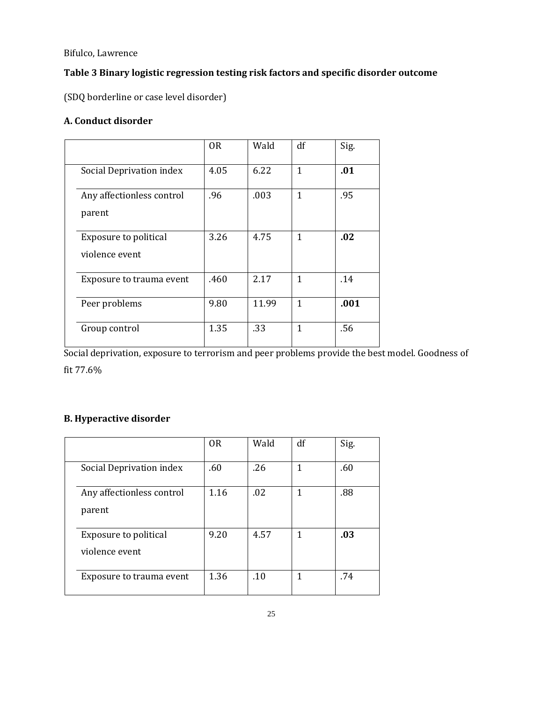# **Table 3 Binary logistic regression testing risk factors and specific disorder outcome**

(SDQ borderline or case level disorder)

# **A. Conduct disorder**

|                                                | 0 <sub>R</sub> | Wald  | df           | Sig. |
|------------------------------------------------|----------------|-------|--------------|------|
| Social Deprivation index                       | 4.05           | 6.22  | $\mathbf{1}$ | .01  |
| Any affectionless control<br>parent            | .96            | .003  | 1            | .95  |
| <b>Exposure to political</b><br>violence event | 3.26           | 4.75  | 1            | .02  |
| Exposure to trauma event                       | .460           | 2.17  | 1            | .14  |
| Peer problems                                  | 9.80           | 11.99 | $\mathbf{1}$ | .001 |
| Group control                                  | 1.35           | .33   | 1            | .56  |

Social deprivation, exposure to terrorism and peer problems provide the best model. Goodness of fit 77.6%

# **B. Hyperactive disorder**

|                                         | 0 <sub>R</sub> | Wald | df | Sig. |
|-----------------------------------------|----------------|------|----|------|
| Social Deprivation index                | .60            | .26  | 1  | .60  |
| Any affectionless control<br>parent     | 1.16           | .02  | 1  | .88  |
| Exposure to political<br>violence event | 9.20           | 4.57 | 1  | .03  |
| Exposure to trauma event                | 1.36           | .10  | 1  | .74  |